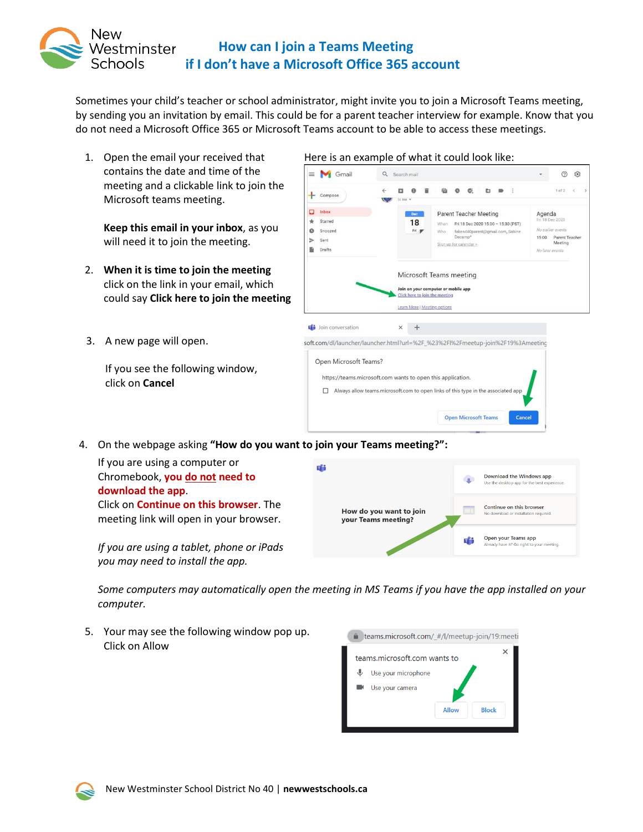

Sometimes your child's teacher or school administrator, might invite you to join a Microsoft Teams meeting, by sending you an invitation by email. This could be for a parent teacher interview for example. Know that you do not need a Microsoft Office 365 or Microsoft Teams account to be able to access these meetings.

1. Open the email your received that contains the date and time of the meeting and a clickable link to join the Microsoft teams meeting.

**Keep this email in your inbox**, as you will need it to join the meeting.

- 2. **When it is time to join the meeting** click on the link in your email, which could say **Click here to join the meeting**
- 3. A new page will open.

If you see the following window, click on **Cancel**

| Gmail                                              | Search mail<br>Q                                                                                                                                                                    |                 |                                                                                      |  |
|----------------------------------------------------|-------------------------------------------------------------------------------------------------------------------------------------------------------------------------------------|-----------------|--------------------------------------------------------------------------------------|--|
| Compose                                            | to me $-$                                                                                                                                                                           |                 | 1 of 2                                                                               |  |
| Inbox<br>□<br>Starred<br>Snoozed<br>Sent<br>Drafts | <b>Parent Teacher Meeting</b><br>Dec-<br>18<br>Fri 18 Dec 2020 15:00 - 15:30 (PST)<br>When<br>Fri W<br>fakesd40parent@gmail.com, Sabine<br>Who<br>Decamp*<br>Sign up for calendar » | Agenda<br>15:00 | Fri 18 Dec 2020<br>No earlier events<br>Parent Teacher<br>Meeting<br>No later events |  |
|                                                    | Microsoft Teams meeting<br>Join on your computer or mobile app<br>Click here to join the meeting<br>Learn More   Meeting options                                                    |                 |                                                                                      |  |
| i Join conversation                                | $\times$                                                                                                                                                                            |                 |                                                                                      |  |
|                                                    | soft.com/dl/launcher/launcher.html?url=%2F %23%2Fl%2Fmeetup-join%2F19%3Ameeting                                                                                                     |                 |                                                                                      |  |
| Open Microsoft Teams?                              | https://teams.microsoft.com wants to open this application.<br>Always allow teams.microsoft.com to open links of this type in the associated app                                    |                 |                                                                                      |  |
|                                                    | <b>Open Microsoft Teams</b><br>Cancel                                                                                                                                               |                 |                                                                                      |  |

4. On the webpage asking **"How do you want to join your Teams meeting?":**

If you are using a computer or Chromebook, **you do not need to download the app**. Click on **Continue on this browser**. The meeting link will open in your browser.

*If you are using a tablet, phone or iPads you may need to install the app.*



*Some computers may automatically open the meeting in MS Teams if you have the app installed on your computer.*

5. Your may see the following window pop up. Click on Allow